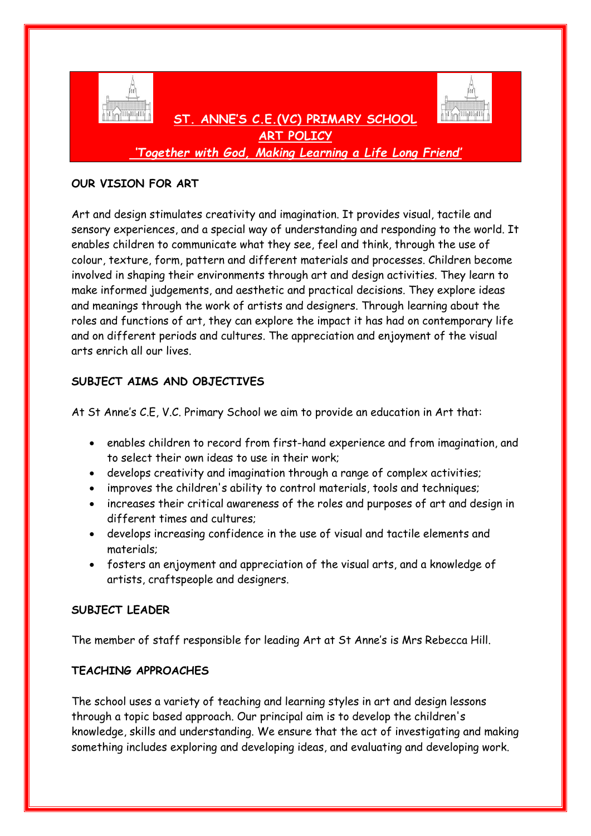

*'Together with God, Making Learning a Life Long Friend'*

## **OUR VISION FOR ART**

Art and design stimulates creativity and imagination. It provides visual, tactile and sensory experiences, and a special way of understanding and responding to the world. It enables children to communicate what they see, feel and think, through the use of colour, texture, form, pattern and different materials and processes. Children become involved in shaping their environments through art and design activities. They learn to make informed judgements, and aesthetic and practical decisions. They explore ideas and meanings through the work of artists and designers. Through learning about the roles and functions of art, they can explore the impact it has had on contemporary life and on different periods and cultures. The appreciation and enjoyment of the visual arts enrich all our lives.

# **SUBJECT AIMS AND OBJECTIVES**

At St Anne's C.E, V.C. Primary School we aim to provide an education in Art that:

- enables children to record from first-hand experience and from imagination, and to select their own ideas to use in their work;
- develops creativity and imagination through a range of complex activities;
- improves the children's ability to control materials, tools and techniques;
- increases their critical awareness of the roles and purposes of art and design in different times and cultures;
- develops increasing confidence in the use of visual and tactile elements and materials;
- fosters an enjoyment and appreciation of the visual arts, and a knowledge of artists, craftspeople and designers.

# **SUBJECT LEADER**

The member of staff responsible for leading Art at St Anne's is Mrs Rebecca Hill.

# **TEACHING APPROACHES**

The school uses a variety of teaching and learning styles in art and design lessons through a topic based approach. Our principal aim is to develop the children's knowledge, skills and understanding. We ensure that the act of investigating and making something includes exploring and developing ideas, and evaluating and developing work.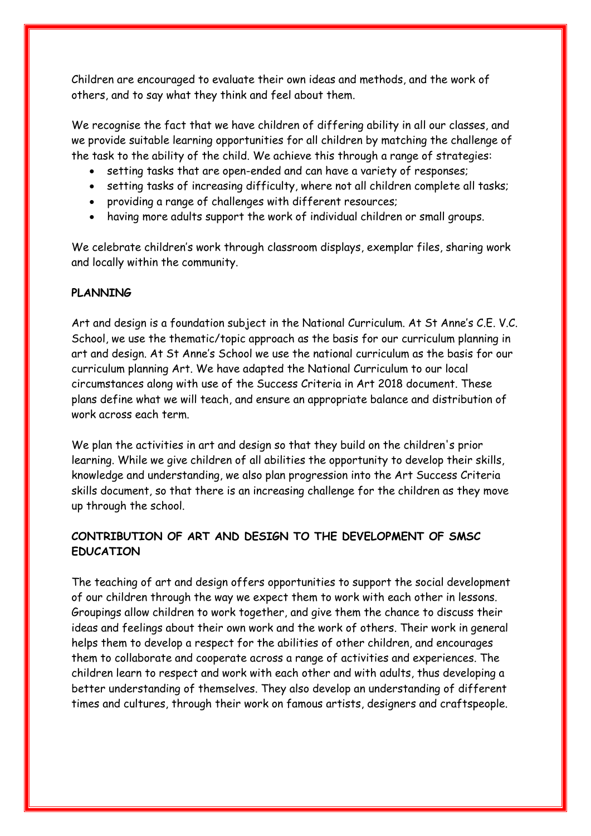Children are encouraged to evaluate their own ideas and methods, and the work of others, and to say what they think and feel about them.

We recognise the fact that we have children of differing ability in all our classes, and we provide suitable learning opportunities for all children by matching the challenge of the task to the ability of the child. We achieve this through a range of strategies:

- setting tasks that are open-ended and can have a variety of responses;
- setting tasks of increasing difficulty, where not all children complete all tasks;
- providing a range of challenges with different resources;
- having more adults support the work of individual children or small groups.

We celebrate children's work through classroom displays, exemplar files, sharing work and locally within the community.

### **PLANNING**

Art and design is a foundation subject in the National Curriculum. At St Anne's C.E. V.C. School, we use the thematic/topic approach as the basis for our curriculum planning in art and design. At St Anne's School we use the national curriculum as the basis for our curriculum planning Art. We have adapted the National Curriculum to our local circumstances along with use of the Success Criteria in Art 2018 document. These plans define what we will teach, and ensure an appropriate balance and distribution of work across each term.

We plan the activities in art and design so that they build on the children's prior learning. While we give children of all abilities the opportunity to develop their skills, knowledge and understanding, we also plan progression into the Art Success Criteria skills document, so that there is an increasing challenge for the children as they move up through the school.

# **CONTRIBUTION OF ART AND DESIGN TO THE DEVELOPMENT OF SMSC EDUCATION**

The teaching of art and design offers opportunities to support the social development of our children through the way we expect them to work with each other in lessons. Groupings allow children to work together, and give them the chance to discuss their ideas and feelings about their own work and the work of others. Their work in general helps them to develop a respect for the abilities of other children, and encourages them to collaborate and cooperate across a range of activities and experiences. The children learn to respect and work with each other and with adults, thus developing a better understanding of themselves. They also develop an understanding of different times and cultures, through their work on famous artists, designers and craftspeople.